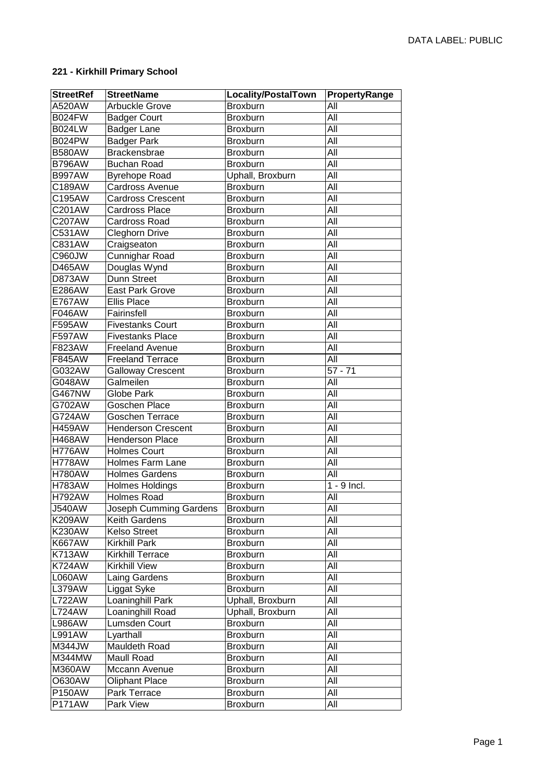## **221 - Kirkhill Primary School**

| <b>StreetRef</b> | <b>StreetName</b>         | Locality/PostalTown | PropertyRange |
|------------------|---------------------------|---------------------|---------------|
| A520AW           | Arbuckle Grove            | Broxburn            | All           |
| <b>B024FW</b>    | <b>Badger Court</b>       | Broxburn            | All           |
| <b>B024LW</b>    | Badger Lane               | Broxburn            | All           |
| <b>B024PW</b>    | <b>Badger Park</b>        | Broxburn            | All           |
| <b>B580AW</b>    | <b>Brackensbrae</b>       | Broxburn            | All           |
| <b>B796AW</b>    | <b>Buchan Road</b>        | Broxburn            | All           |
| <b>B997AW</b>    | <b>Byrehope Road</b>      | Uphall, Broxburn    | All           |
| C189AW           | Cardross Avenue           | Broxburn            | All           |
| C195AW           | <b>Cardross Crescent</b>  | Broxburn            | All           |
| C201AW           | <b>Cardross Place</b>     | Broxburn            | All           |
| C207AW           | Cardross Road             | Broxburn            | All           |
| C531AW           | <b>Cleghorn Drive</b>     | Broxburn            | All           |
| C831AW           | Craigseaton               | Broxburn            | All           |
| C960JW           | Cunnighar Road            | Broxburn            | All           |
| D465AW           | Douglas Wynd              | Broxburn            | All           |
| D873AW           | Dunn Street               | Broxburn            | All           |
| E286AW           | <b>East Park Grove</b>    | Broxburn            | All           |
| <b>E767AW</b>    | <b>Ellis Place</b>        | Broxburn            | All           |
| F046AW           | Fairinsfell               | Broxburn            | All           |
| F595AW           | <b>Fivestanks Court</b>   | Broxburn            | All           |
| F597AW           | <b>Fivestanks Place</b>   | Broxburn            | All           |
| F823AW           | <b>Freeland Avenue</b>    | <b>Broxburn</b>     | All           |
| F845AW           | <b>Freeland Terrace</b>   | Broxburn            | All           |
| G032AW           | <b>Galloway Crescent</b>  | Broxburn            | $57 - 71$     |
| G048AW           | Galmeilen                 | Broxburn            | All           |
| G467NW           | <b>Globe Park</b>         | Broxburn            | All           |
| G702AW           | Goschen Place             | Broxburn            | All           |
| G724AW           | Goschen Terrace           | Broxburn            | All           |
| <b>H459AW</b>    | <b>Henderson Crescent</b> | <b>Broxburn</b>     | All           |
| <b>H468AW</b>    | <b>Henderson Place</b>    | Broxburn            | All           |
| <b>H776AW</b>    | <b>Holmes Court</b>       | Broxburn            | All           |
| <b>H778AW</b>    | <b>Holmes Farm Lane</b>   | Broxburn            | All           |
| <b>H780AW</b>    | <b>Holmes Gardens</b>     | Broxburn            | All           |
| <b>H783AW</b>    | <b>Holmes Holdings</b>    | Broxburn            | 1 - 9 Incl.   |
| <b>H792AW</b>    | <b>Holmes Road</b>        | Broxburn            | All           |
| <b>J540AW</b>    | Joseph Cumming Gardens    | <b>Broxburn</b>     | All           |
| <b>K209AW</b>    | Keith Gardens             | <b>Broxburn</b>     | All           |
| <b>K230AW</b>    | <b>Kelso Street</b>       | <b>Broxburn</b>     | All           |
| <b>K667AW</b>    | <b>Kirkhill Park</b>      | <b>Broxburn</b>     | All           |
| <b>K713AW</b>    | <b>Kirkhill Terrace</b>   | Broxburn            | All           |
| <b>K724AW</b>    | <b>Kirkhill View</b>      | Broxburn            | All           |
| L060AW           | Laing Gardens             | Broxburn            | All           |
| L379AW           | Liggat Syke               | Broxburn            | All           |
| <b>L722AW</b>    | Loaninghill Park          | Uphall, Broxburn    | All           |
| <b>L724AW</b>    | Loaninghill Road          | Uphall, Broxburn    | All           |
| <b>L986AW</b>    | Lumsden Court             | Broxburn            | All           |
| <b>L991AW</b>    | Lyarthall                 | Broxburn            | All           |
| M344JW           | Mauldeth Road             | Broxburn            | All           |
| M344MW           | Maull Road                | Broxburn            | All           |
| <b>M360AW</b>    | Mccann Avenue             | Broxburn            | All           |
| <b>O630AW</b>    | <b>Oliphant Place</b>     | Broxburn            | All           |
| <b>P150AW</b>    | Park Terrace              | Broxburn            | All           |
| <b>P171AW</b>    | Park View                 | Broxburn            | All           |